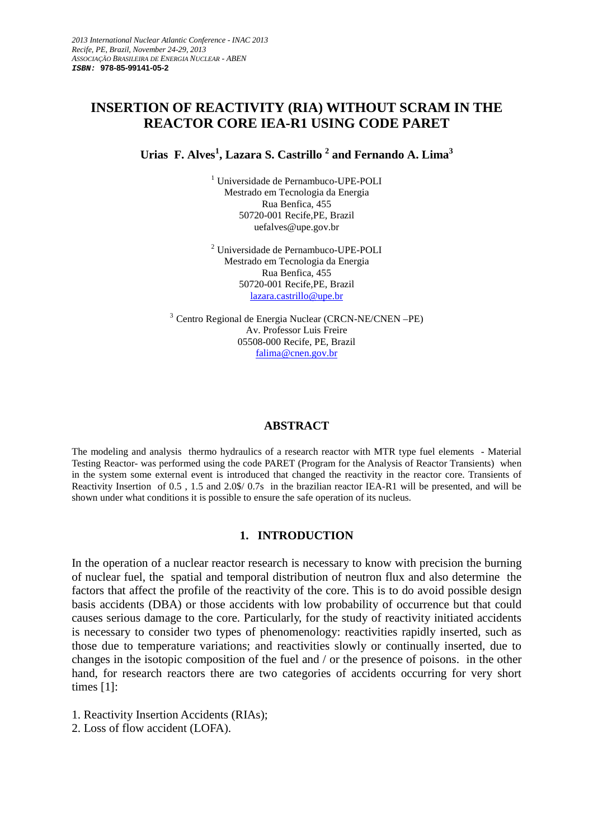# **INSERTION OF REACTIVITY (RIA) WITHOUT SCRAM IN THE REACTOR CORE IEA-R1 USING CODE PARET**

**Urias F. Alves<sup>1</sup> , Lazara S. Castrillo <sup>2</sup> and Fernando A. Lima<sup>3</sup>**

1 Universidade de Pernambuco-UPE-POLI Mestrado em Tecnologia da Energia Rua Benfica, 455 50720-001 Recife,PE, Brazil uefalves@upe.gov.br

2 Universidade de Pernambuco-UPE-POLI Mestrado em Tecnologia da Energia Rua Benfica, 455 50720-001 Recife,PE, Brazil lazara.castrillo@upe.br

<sup>3</sup> Centro Regional de Energia Nuclear (CRCN-NE/CNEN –PE) Av. Professor Luis Freire 05508-000 Recife, PE, Brazil falima@cnen.gov.br

## **ABSTRACT**

The modeling and analysis thermo hydraulics of a research reactor with MTR type fuel elements - Material Testing Reactor- was performed using the code PARET (Program for the Analysis of Reactor Transients) when in the system some external event is introduced that changed the reactivity in the reactor core. Transients of Reactivity Insertion of 0.5 , 1.5 and 2.0\$/ 0.7s in the brazilian reactor IEA-R1 will be presented, and will be shown under what conditions it is possible to ensure the safe operation of its nucleus.

# **1. INTRODUCTION**

In the operation of a nuclear reactor research is necessary to know with precision the burning of nuclear fuel, the spatial and temporal distribution of neutron flux and also determine the factors that affect the profile of the reactivity of the core. This is to do avoid possible design basis accidents (DBA) or those accidents with low probability of occurrence but that could causes serious damage to the core. Particularly, for the study of reactivity initiated accidents is necessary to consider two types of phenomenology: reactivities rapidly inserted, such as those due to temperature variations; and reactivities slowly or continually inserted, due to changes in the isotopic composition of the fuel and / or the presence of poisons. in the other hand, for research reactors there are two categories of accidents occurring for very short times [1]:

- 1. Reactivity Insertion Accidents (RIAs);
- 2. Loss of flow accident (LOFA).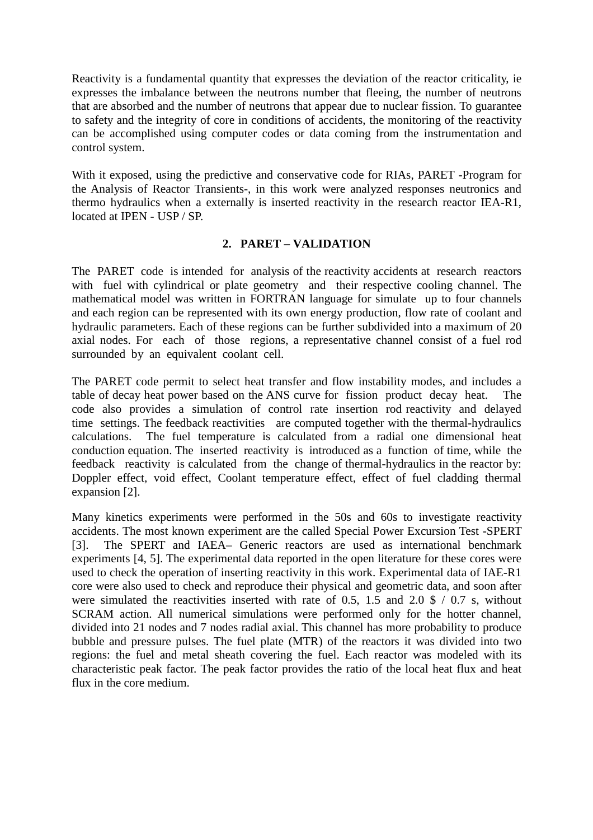Reactivity is a fundamental quantity that expresses the deviation of the reactor criticality, ie expresses the imbalance between the neutrons number that fleeing, the number of neutrons that are absorbed and the number of neutrons that appear due to nuclear fission. To guarantee to safety and the integrity of core in conditions of accidents, the monitoring of the reactivity can be accomplished using computer codes or data coming from the instrumentation and control system.

With it exposed, using the predictive and conservative code for RIAs, PARET -Program for the Analysis of Reactor Transients-, in this work were analyzed responses neutronics and thermo hydraulics when a externally is inserted reactivity in the research reactor IEA-R1, located at **IPEN** - **USP** / **SP**.

# **2. PARET – VALIDATION**

The PARET code is intended for analysis of the reactivity accidents at research reactors with fuel with cylindrical or plate geometry and their respective cooling channel. The mathematical model was written in FORTRAN language for simulate up to four channels and each region can be represented with its own energy production, flow rate of coolant and hydraulic parameters. Each of these regions can be further subdivided into a maximum of 20 axial nodes. For each of those regions, a representative channel consist of a fuel rod surrounded by an equivalent coolant cell.

The PARET code permit to select heat transfer and flow instability modes, and includes a table of decay heat power based on the ANS curve for fission product decay heat. The code also provides a simulation of control rate insertion rod reactivity and delayed time settings. The feedback reactivities are computed together with the thermal-hydraulics calculations. The fuel temperature is calculated from a radial one dimensional heat conduction equation. The inserted reactivity is introduced as a function of time, while the feedback reactivity is calculated from the change of thermal-hydraulics in the reactor by: Doppler effect, void effect, Coolant temperature effect, effect of fuel cladding thermal expansion [2].

Many kinetics experiments were performed in the 50s and 60s to investigate reactivity accidents. The most known experiment are the called Special Power Excursion Test -SPERT [3]. The SPERT and IAEA– Generic reactors are used as international benchmark experiments [4, 5]. The experimental data reported in the open literature for these cores were used to check the operation of inserting reactivity in this work. Experimental data of IAE-R1 core were also used to check and reproduce their physical and geometric data, and soon after were simulated the reactivities inserted with rate of 0.5, 1.5 and 2.0  $\frac{6}{7}$  / 0.7 s, without SCRAM action. All numerical simulations were performed only for the hotter channel, divided into 21 nodes and 7 nodes radial axial. This channel has more probability to produce bubble and pressure pulses. The fuel plate (MTR) of the reactors it was divided into two regions: the fuel and metal sheath covering the fuel. Each reactor was modeled with its characteristic peak factor. The peak factor provides the ratio of the local heat flux and heat flux in the core medium.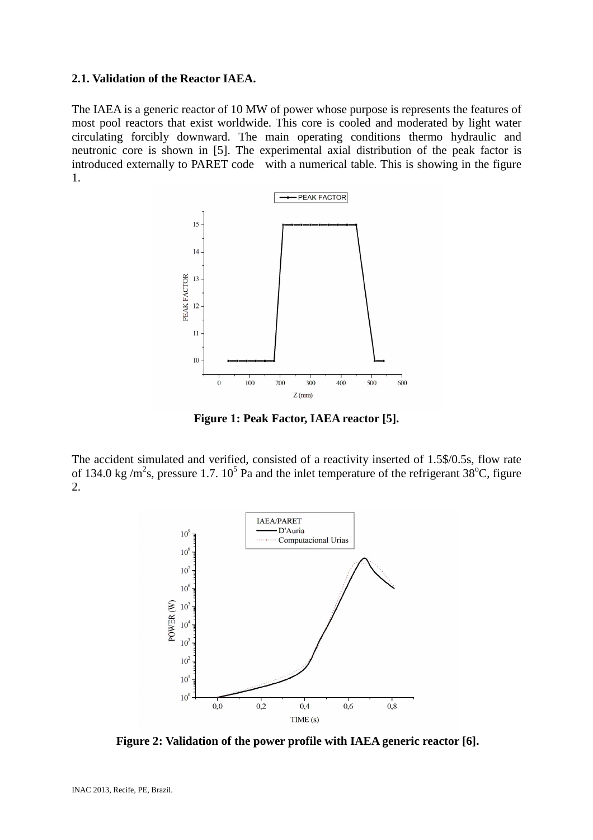#### **2.1. Validation of the Reactor IAEA.**

The IAEA is a generic reactor of 10 MW of power whose purpose is represents the features of most pool reactors that exist worldwide. This core is cooled and moderated by light water circulating forcibly downward. The main operating conditions thermo hydraulic and neutronic core is shown in [5]. The experimental axial distribution of the peak factor is introduced externally to PARET code with a numerical table. This is showing in the figure 1.



**Figure 1: Peak Factor, IAEA reactor [5].** 

The accident simulated and verified, consisted of a reactivity inserted of 1.5\$/0.5s, flow rate of 134.0 kg/m<sup>2</sup>s, pressure 1.7. 10<sup>5</sup> Pa and the inlet temperature of the refrigerant 38<sup>o</sup>C, figure 2.



**Figure 2: Validation of the power profile with IAEA generic reactor [6].**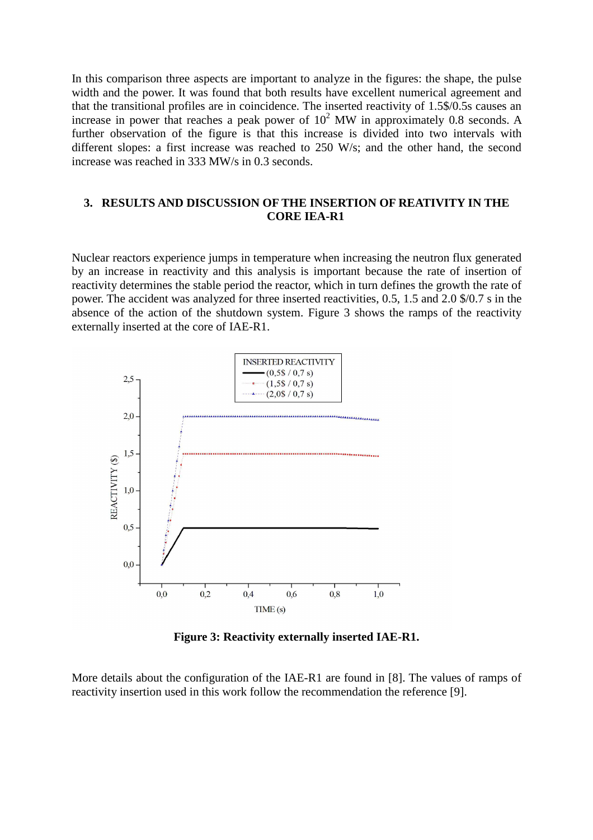In this comparison three aspects are important to analyze in the figures: the shape, the pulse width and the power. It was found that both results have excellent numerical agreement and that the transitional profiles are in coincidence. The inserted reactivity of 1.5\$/0.5s causes an increase in power that reaches a peak power of  $10^2$  MW in approximately 0.8 seconds. A further observation of the figure is that this increase is divided into two intervals with different slopes: a first increase was reached to 250 W/s; and the other hand, the second increase was reached in 333 MW/s in 0.3 seconds.

# **3. RESULTS AND DISCUSSION OF THE INSERTION OF REATIVITY IN THE CORE IEA-R1**

Nuclear reactors experience jumps in temperature when increasing the neutron flux generated by an increase in reactivity and this analysis is important because the rate of insertion of reactivity determines the stable period the reactor, which in turn defines the growth the rate of power. The accident was analyzed for three inserted reactivities, 0.5, 1.5 and 2.0 \$/0.7 s in the absence of the action of the shutdown system. Figure 3 shows the ramps of the reactivity externally inserted at the core of IAE-R1.



**Figure 3: Reactivity externally inserted IAE-R1.** 

More details about the configuration of the IAE-R1 are found in [8]. The values of ramps of reactivity insertion used in this work follow the recommendation the reference [9].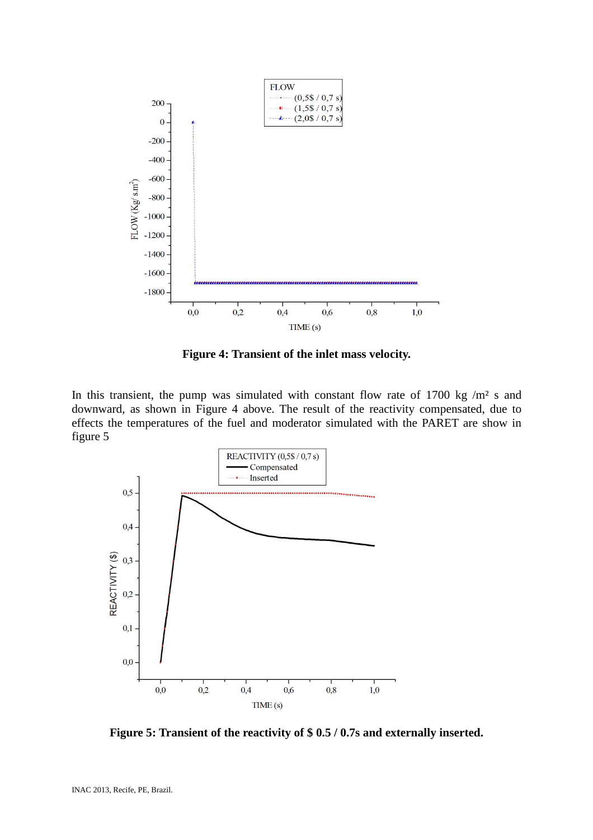

**Figure 4: Transient of the inlet mass velocity.** 

In this transient, the pump was simulated with constant flow rate of  $1700 \text{ kg } / \text{m}^2$  s and downward, as shown in Figure 4 above. The result of the reactivity compensated, due to effects the temperatures of the fuel and moderator simulated with the PARET are show in figure 5



**Figure 5: Transient of the reactivity of \$ 0.5 / 0.7s and externally inserted.**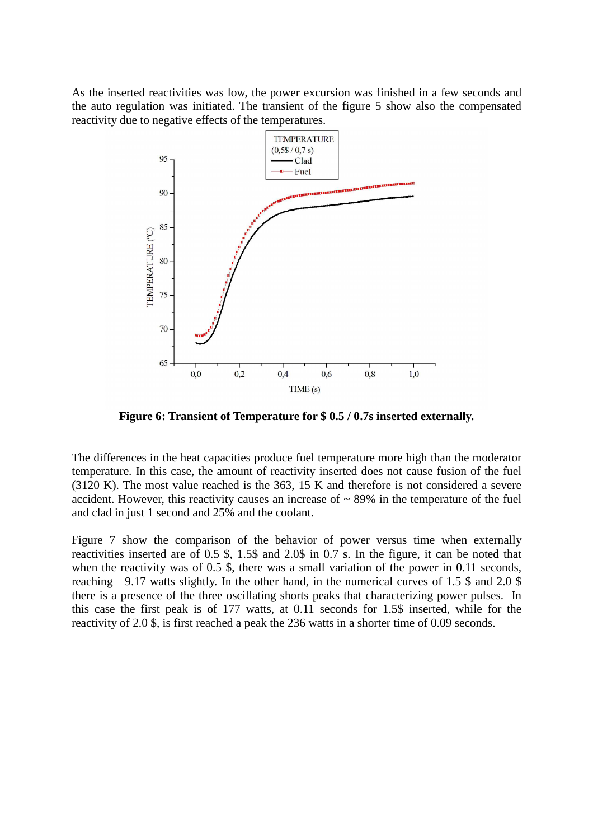As the inserted reactivities was low, the power excursion was finished in a few seconds and the auto regulation was initiated. The transient of the figure 5 show also the compensated reactivity due to negative effects of the temperatures.



**Figure 6: Transient of Temperature for \$ 0.5 / 0.7s inserted externally.** 

The differences in the heat capacities produce fuel temperature more high than the moderator temperature. In this case, the amount of reactivity inserted does not cause fusion of the fuel (3120 K). The most value reached is the 363, 15 K and therefore is not considered a severe accident. However, this reactivity causes an increase of  $\sim$  89% in the temperature of the fuel and clad in just 1 second and 25% and the coolant.

Figure 7 show the comparison of the behavior of power versus time when externally reactivities inserted are of 0.5 \$, 1.5\$ and 2.0\$ in 0.7 s. In the figure, it can be noted that when the reactivity was of 0.5 \$, there was a small variation of the power in 0.11 seconds, reaching 9.17 watts slightly. In the other hand, in the numerical curves of 1.5 \$ and 2.0 \$ there is a presence of the three oscillating shorts peaks that characterizing power pulses. In this case the first peak is of 177 watts, at 0.11 seconds for 1.5\$ inserted, while for the reactivity of 2.0 \$, is first reached a peak the 236 watts in a shorter time of 0.09 seconds.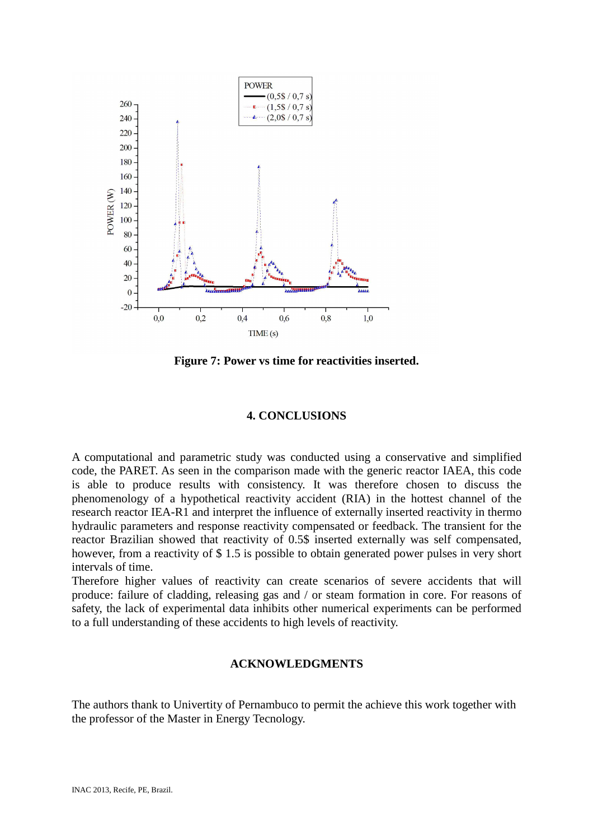

**Figure 7: Power vs time for reactivities inserted.** 

# **4. CONCLUSIONS**

A computational and parametric study was conducted using a conservative and simplified code, the PARET. As seen in the comparison made with the generic reactor IAEA, this code is able to produce results with consistency. It was therefore chosen to discuss the phenomenology of a hypothetical reactivity accident (RIA) in the hottest channel of the research reactor IEA-R1 and interpret the influence of externally inserted reactivity in thermo hydraulic parameters and response reactivity compensated or feedback. The transient for the reactor Brazilian showed that reactivity of 0.5\$ inserted externally was self compensated, however, from a reactivity of \$ 1.5 is possible to obtain generated power pulses in very short intervals of time.

Therefore higher values of reactivity can create scenarios of severe accidents that will produce: failure of cladding, releasing gas and / or steam formation in core. For reasons of safety, the lack of experimental data inhibits other numerical experiments can be performed to a full understanding of these accidents to high levels of reactivity.

### **ACKNOWLEDGMENTS**

The authors thank to Univertity of Pernambuco to permit the achieve this work together with the professor of the Master in Energy Tecnology.